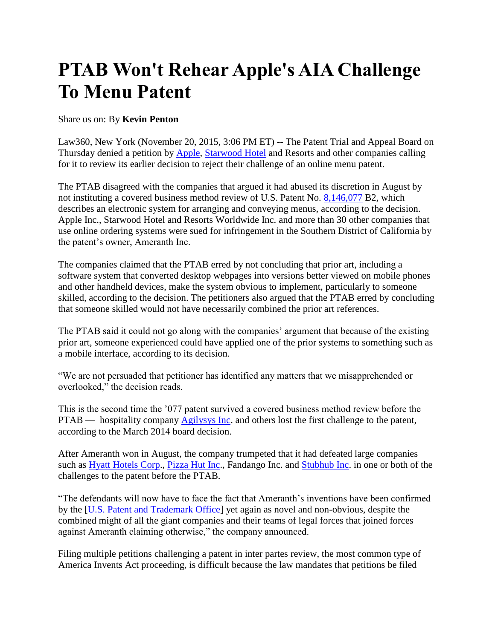## **PTAB Won't Rehear Apple's AIA Challenge To Menu Patent**

## Share us on: By **Kevin Penton**

Law360, New York (November 20, 2015, 3:06 PM ET) -- The Patent Trial and Appeal Board on Thursday denied a petition by [Apple,](http://www.law360.com/companies/apple-inc) [Starwood Hotel](http://www.law360.com/companies/starwood-hotel-resorts-worldwide-inc) and Resorts and other companies calling for it to review its earlier decision to reject their challenge of an online menu patent.

The PTAB disagreed with the companies that argued it had abused its discretion in August by not instituting a covered business method review of U.S. Patent No. [8,146,077](http://www.law360.com/patents/8146077) B2, which describes an electronic system for arranging and conveying menus, according to the decision. Apple Inc., Starwood Hotel and Resorts Worldwide Inc. and more than 30 other companies that use online ordering systems were sued for infringement in the Southern District of California by the patent's owner, Ameranth Inc.

The companies claimed that the PTAB erred by not concluding that prior art, including a software system that converted desktop webpages into versions better viewed on mobile phones and other handheld devices, make the system obvious to implement, particularly to someone skilled, according to the decision. The petitioners also argued that the PTAB erred by concluding that someone skilled would not have necessarily combined the prior art references.

The PTAB said it could not go along with the companies' argument that because of the existing prior art, someone experienced could have applied one of the prior systems to something such as a mobile interface, according to its decision.

"We are not persuaded that petitioner has identified any matters that we misapprehended or overlooked," the decision reads.

This is the second time the '077 patent survived a covered business method review before the PTAB — hospitality company **Agilysys Inc**, and others lost the first challenge to the patent, according to the March 2014 board decision.

After Ameranth won in August, the company trumpeted that it had defeated large companies such as [Hyatt Hotels Corp.](http://www.law360.com/companies/hyatt-hotels-corporation), [Pizza Hut Inc.](http://www.law360.com/companies/pizza-hut-inc), Fandango Inc. and [Stubhub Inc.](http://www.law360.com/companies/stubhub-inc) in one or both of the challenges to the patent before the PTAB.

"The defendants will now have to face the fact that Ameranth's inventions have been confirmed by the [\[U.S. Patent and Trademark Office\]](http://www.law360.com/agencies/u-s-patent-and-trademark-office) yet again as novel and non-obvious, despite the combined might of all the giant companies and their teams of legal forces that joined forces against Ameranth claiming otherwise," the company announced.

Filing multiple petitions challenging a patent in inter partes review, the most common type of America Invents Act proceeding, is difficult because the law mandates that petitions be filed